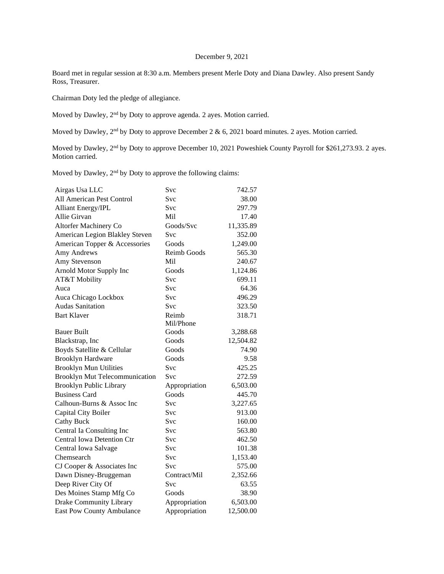## December 9, 2021

Board met in regular session at 8:30 a.m. Members present Merle Doty and Diana Dawley. Also present Sandy Ross, Treasurer.

Chairman Doty led the pledge of allegiance.

Moved by Dawley, 2<sup>nd</sup> by Doty to approve agenda. 2 ayes. Motion carried.

Moved by Dawley, 2<sup>nd</sup> by Doty to approve December 2 & 6, 2021 board minutes. 2 ayes. Motion carried.

Moved by Dawley, 2<sup>nd</sup> by Doty to approve December 10, 2021 Poweshiek County Payroll for \$261,273.93. 2 ayes. Motion carried.

Moved by Dawley, 2<sup>nd</sup> by Doty to approve the following claims:

| Airgas Usa LLC                    | Svc           | 742.57    |
|-----------------------------------|---------------|-----------|
| All American Pest Control         | Svc           | 38.00     |
| <b>Alliant Energy/IPL</b>         | Svc           | 297.79    |
| Allie Girvan                      | Mil           | 17.40     |
| Altorfer Machinery Co             | Goods/Svc     | 11,335.89 |
| American Legion Blakley Steven    | <b>Svc</b>    | 352.00    |
| American Topper & Accessories     | Goods         | 1,249.00  |
| Amy Andrews                       | Reimb Goods   | 565.30    |
| Amy Stevenson                     | Mil           | 240.67    |
| Arnold Motor Supply Inc           | Goods         | 1,124.86  |
| AT&T Mobility                     | <b>Svc</b>    | 699.11    |
| Auca                              | <b>Svc</b>    | 64.36     |
| Auca Chicago Lockbox              | Svc           | 496.29    |
| <b>Audas Sanitation</b>           | <b>Svc</b>    | 323.50    |
| <b>Bart Klaver</b>                | Reimb         | 318.71    |
|                                   | Mil/Phone     |           |
| <b>Bauer Built</b>                | Goods         | 3,288.68  |
| Blackstrap, Inc                   | Goods         | 12,504.82 |
| Boyds Satellite & Cellular        | Goods         | 74.90     |
| <b>Brooklyn Hardware</b>          | Goods         | 9.58      |
| <b>Brooklyn Mun Utilities</b>     | Svc           | 425.25    |
| Brooklyn Mut Telecommunication    | <b>Svc</b>    | 272.59    |
| <b>Brooklyn Public Library</b>    | Appropriation | 6,503.00  |
| <b>Business Card</b>              | Goods         | 445.70    |
| Calhoun-Burns & Assoc Inc         | Svc           | 3,227.65  |
| Capital City Boiler               | Svc           | 913.00    |
| <b>Cathy Buck</b>                 | Svc           | 160.00    |
| Central Ia Consulting Inc         | Svc           | 563.80    |
| <b>Central Iowa Detention Ctr</b> | Svc           | 462.50    |
| Central Iowa Salvage              | Svc           | 101.38    |
| Chemsearch                        | Svc           | 1,153.40  |
| CJ Cooper & Associates Inc        | Svc           | 575.00    |
| Dawn Disney-Bruggeman             | Contract/Mil  | 2,352.66  |
| Deep River City Of                | Svc           | 63.55     |
| Des Moines Stamp Mfg Co           | Goods         | 38.90     |
| Drake Community Library           | Appropriation | 6,503.00  |
| East Pow County Ambulance         | Appropriation | 12,500.00 |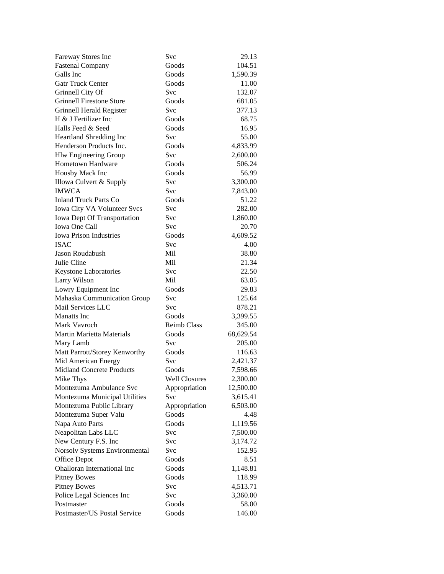| Fareway Stores Inc               | Svc                  | 29.13     |
|----------------------------------|----------------------|-----------|
| <b>Fastenal Company</b>          | Goods                | 104.51    |
| Galls Inc                        | Goods                | 1,590.39  |
| <b>Gatr Truck Center</b>         | Goods                | 11.00     |
| Grinnell City Of                 | Svc                  | 132.07    |
| <b>Grinnell Firestone Store</b>  | Goods                | 681.05    |
| Grinnell Herald Register         | Svc                  | 377.13    |
| H & J Fertilizer Inc             | Goods                | 68.75     |
| Halls Feed & Seed                | Goods                | 16.95     |
| Heartland Shredding Inc          | Svc                  | 55.00     |
| Henderson Products Inc.          | Goods                | 4,833.99  |
| Hlw Engineering Group            | Svc                  | 2,600.00  |
| <b>Hometown Hardware</b>         | Goods                | 506.24    |
| Housby Mack Inc                  | Goods                | 56.99     |
| Illowa Culvert & Supply          | Svc                  | 3,300.00  |
| <b>IMWCA</b>                     | Svc                  | 7,843.00  |
| <b>Inland Truck Parts Co</b>     | Goods                | 51.22     |
| Iowa City VA Volunteer Svcs      | Svc                  | 282.00    |
| Iowa Dept Of Transportation      | Svc                  | 1,860.00  |
| <b>Iowa One Call</b>             | Svc                  | 20.70     |
| <b>Iowa Prison Industries</b>    | Goods                | 4,609.52  |
| <b>ISAC</b>                      | Svc                  | 4.00      |
| Jason Roudabush                  | Mil                  | 38.80     |
| Julie Cline                      | Mil                  | 21.34     |
| Keystone Laboratories            | Svc                  | 22.50     |
| Larry Wilson                     | Mil                  | 63.05     |
| Lowry Equipment Inc              | Goods                | 29.83     |
| Mahaska Communication Group      | Svc                  | 125.64    |
| Mail Services LLC                | Svc                  | 878.21    |
| <b>Manatts</b> Inc               | Goods                | 3,399.55  |
| Mark Vavroch                     | <b>Reimb Class</b>   | 345.00    |
| <b>Martin Marietta Materials</b> | Goods                | 68,629.54 |
| Mary Lamb                        | <b>Svc</b>           | 205.00    |
| Matt Parrott/Storey Kenworthy    | Goods                | 116.63    |
| Mid American Energy              | Svc                  | 2,421.37  |
| <b>Midland Concrete Products</b> | Goods                | 7,598.66  |
| Mike Thys                        | <b>Well Closures</b> | 2,300.00  |
| Montezuma Ambulance Svc          | Appropriation        | 12,500.00 |
| Montezuma Municipal Utilities    | Svc                  | 3,615.41  |
| Montezuma Public Library         | Appropriation        | 6,503.00  |
| Montezuma Super Valu             | Goods                | 4.48      |
| Napa Auto Parts                  | Goods                | 1,119.56  |
| Neapolitan Labs LLC              | Svc                  | 7,500.00  |
| New Century F.S. Inc             | <b>Svc</b>           | 3,174.72  |
| Norsolv Systems Environmental    | Svc                  | 152.95    |
| Office Depot                     | Goods                | 8.51      |
| Ohalloran International Inc      | Goods                | 1,148.81  |
| <b>Pitney Bowes</b>              | Goods                | 118.99    |
| <b>Pitney Bowes</b>              | Svc                  | 4,513.71  |
| Police Legal Sciences Inc        | Svc                  | 3,360.00  |
| Postmaster                       | Goods                | 58.00     |
| Postmaster/US Postal Service     | Goods                | 146.00    |
|                                  |                      |           |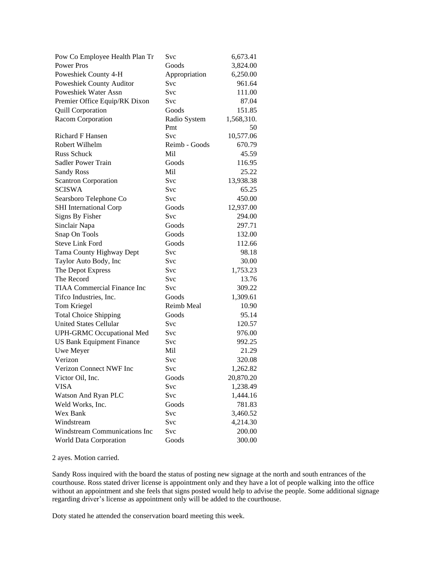| Pow Co Employee Health Plan Tr     | Svc           | 6,673.41   |
|------------------------------------|---------------|------------|
| <b>Power Pros</b>                  | Goods         | 3,824.00   |
| Poweshiek County 4-H               | Appropriation | 6,250.00   |
| Poweshiek County Auditor           | Svc           | 961.64     |
| Poweshiek Water Assn               | Svc           | 111.00     |
| Premier Office Equip/RK Dixon      | Svc           | 87.04      |
| <b>Quill Corporation</b>           | Goods         | 151.85     |
| Racom Corporation                  | Radio System  | 1,568,310. |
|                                    | Pmt           | 50         |
| Richard F Hansen                   | Svc           | 10,577.06  |
| Robert Wilhelm                     | Reimb - Goods | 670.79     |
| <b>Russ Schuck</b>                 | Mil           | 45.59      |
| <b>Sadler Power Train</b>          | Goods         | 116.95     |
| <b>Sandy Ross</b>                  | Mil           | 25.22      |
| <b>Scantron Corporation</b>        | Svc           | 13,938.38  |
| <b>SCISWA</b>                      | Svc           | 65.25      |
| Searsboro Telephone Co             | <b>Svc</b>    | 450.00     |
| <b>SHI</b> International Corp      | Goods         | 12,937.00  |
| Signs By Fisher                    | <b>Svc</b>    | 294.00     |
| Sinclair Napa                      | Goods         | 297.71     |
| Snap On Tools                      | Goods         | 132.00     |
| <b>Steve Link Ford</b>             | Goods         | 112.66     |
| Tama County Highway Dept           | Svc           | 98.18      |
| Taylor Auto Body, Inc              | Svc           | 30.00      |
| The Depot Express                  | Svc           | 1,753.23   |
| The Record                         | Svc           | 13.76      |
| <b>TIAA Commercial Finance Inc</b> | Svc           | 309.22     |
| Tifco Industries, Inc.             | Goods         | 1,309.61   |
| Tom Kriegel                        | Reimb Meal    | 10.90      |
| <b>Total Choice Shipping</b>       | Goods         | 95.14      |
| <b>United States Cellular</b>      | Svc           | 120.57     |
| UPH-GRMC Occupational Med          | Svc           | 976.00     |
| <b>US Bank Equipment Finance</b>   | Svc           | 992.25     |
| Uwe Meyer                          | Mil           | 21.29      |
| Verizon                            | Svc           | 320.08     |
| Verizon Connect NWF Inc            | Svc           | 1,262.82   |
| Victor Oil, Inc.                   | Goods         | 20,870.20  |
| <b>VISA</b>                        | Svc           | 1,238.49   |
| Watson And Ryan PLC                | Svc           | 1,444.16   |
| Weld Works, Inc.                   | Goods         | 781.83     |
| Wex Bank                           | Svc           | 3,460.52   |
| Windstream                         | Svc           | 4,214.30   |
| Windstream Communications Inc      | Svc           | 200.00     |
| World Data Corporation             | Goods         | 300.00     |

2 ayes. Motion carried.

Sandy Ross inquired with the board the status of posting new signage at the north and south entrances of the courthouse. Ross stated driver license is appointment only and they have a lot of people walking into the office without an appointment and she feels that signs posted would help to advise the people. Some additional signage regarding driver's license as appointment only will be added to the courthouse.

Doty stated he attended the conservation board meeting this week.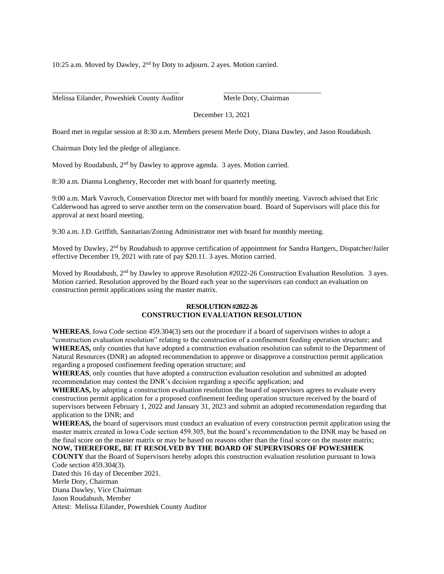10:25 a.m. Moved by Dawley, 2nd by Doty to adjourn. 2 ayes. Motion carried.

\_\_\_\_\_\_\_\_\_\_\_\_\_\_\_\_\_\_\_\_\_\_\_\_\_\_\_\_\_\_\_\_\_\_\_ \_\_\_\_\_\_\_\_\_\_\_\_\_\_\_\_\_\_\_\_\_\_\_\_\_\_\_

Melissa Eilander, Poweshiek County Auditor Merle Doty, Chairman

December 13, 2021

Board met in regular session at 8:30 a.m. Members present Merle Doty, Diana Dawley, and Jason Roudabush.

Chairman Doty led the pledge of allegiance.

Moved by Roudabush, 2<sup>nd</sup> by Dawley to approve agenda. 3 ayes. Motion carried.

8:30 a.m. Dianna Longhenry, Recorder met with board for quarterly meeting.

9:00 a.m. Mark Vavroch, Conservation Director met with board for monthly meeting. Vavroch advised that Eric Calderwood has agreed to serve another term on the conservation board. Board of Supervisors will place this for approval at next board meeting.

9:30 a.m. J.D. Griffith, Sanitarian/Zoning Administrator met with board for monthly meeting.

Moved by Dawley, 2<sup>nd</sup> by Roudabush to approve certification of appointment for Sandra Hartgers, Dispatcher/Jailer effective December 19, 2021 with rate of pay \$20.11. 3 ayes. Motion carried.

Moved by Roudabush, 2<sup>nd</sup> by Dawley to approve Resolution #2022-26 Construction Evaluation Resolution. 3 ayes. Motion carried. Resolution approved by the Board each year so the supervisors can conduct an evaluation on construction permit applications using the master matrix.

## **RESOLUTION #2022-26 CONSTRUCTION EVALUATION RESOLUTION**

**WHEREAS**, Iowa Code section 459.304(3) sets out the procedure if a board of supervisors wishes to adopt a "construction evaluation resolution" relating to the construction of a confinement feeding operation structure; and **WHEREAS,** only counties that have adopted a construction evaluation resolution can submit to the Department of Natural Resources (DNR) an adopted recommendation to approve or disapprove a construction permit application regarding a proposed confinement feeding operation structure; and

**WHEREAS**, only counties that have adopted a construction evaluation resolution and submitted an adopted recommendation may contest the DNR's decision regarding a specific application; and

**WHEREAS,** by adopting a construction evaluation resolution the board of supervisors agrees to evaluate every construction permit application for a proposed confinement feeding operation structure received by the board of supervisors between February 1, 2022 and January 31, 2023 and submit an adopted recommendation regarding that application to the DNR; and

**WHEREAS,** the board of supervisors must conduct an evaluation of every construction permit application using the master matrix created in Iowa Code section 459.305, but the board's recommendation to the DNR may be based on the final score on the master matrix or may be based on reasons other than the final score on the master matrix;

**NOW, THEREFORE, BE IT RESOLVED BY THE BOARD OF SUPERVISORS OF POWESHIEK COUNTY** that the Board of Supervisors hereby adopts this construction evaluation resolution pursuant to Iowa Code section 459.304(3). Dated this 16 day of December 2021. Merle Doty, Chairman Diana Dawley, Vice Chairman Jason Roudabush, Member

Attest: Melissa Eilander, Poweshiek County Auditor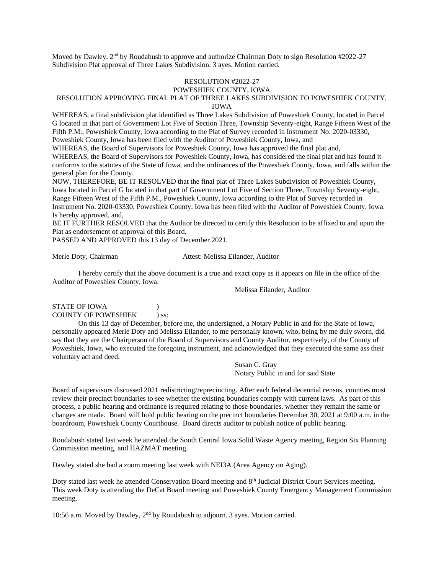Moved by Dawley,  $2<sup>nd</sup>$  by Roudabush to approve and authorize Chairman Doty to sign Resolution #2022-27 Subdivision Plat approval of Three Lakes Subdivision. 3 ayes. Motion carried.

#### RESOLUTION #2022-27 POWESHIEK COUNTY, IOWA

# RESOLUTION APPROVING FINAL PLAT OF THREE LAKES SUBDIVISION TO POWESHIEK COUNTY,

IOWA

WHEREAS, a final subdivision plat identified as Three Lakes Subdivision of Poweshiek County, located in Parcel G located in that part of Government Lot Five of Section Three, Township Seventy-eight, Range Fifteen West of the Fifth P.M., Poweshiek County, Iowa according to the Plat of Survey recorded in Instrument No. 2020-03330, Poweshiek County, Iowa has been filed with the Auditor of Poweshiek County, Iowa, and

WHEREAS, the Board of Supervisors for Poweshiek County, Iowa has approved the final plat and,

WHEREAS, the Board of Supervisors for Poweshiek County, Iowa, has considered the final plat and has found it conforms to the statutes of the State of Iowa, and the ordinances of the Poweshiek County, Iowa, and falls within the general plan for the County.

NOW, THEREFORE, BE IT RESOLVED that the final plat of Three Lakes Subdivision of Poweshiek County, Iowa located in Parcel G located in that part of Government Lot Five of Section Three, Township Seventy-eight, Range Fifteen West of the Fifth P.M., Poweshiek County, Iowa according to the Plat of Survey recorded in Instrument No. 2020-03330, Poweshiek County, Iowa has been filed with the Auditor of Poweshiek County, Iowa. Is hereby approved, and,

BE IT FURTHER RESOLVED that the Auditor be directed to certify this Resolution to be affixed to and upon the Plat as endorsement of approval of this Board.

PASSED AND APPROVED this 13 day of December 2021.

Merle Doty, Chairman Attest: Melissa Eilander, Auditor

I hereby certify that the above document is a true and exact copy as it appears on file in the office of the Auditor of Poweshiek County, Iowa.

Melissa Eilander, Auditor

# STATE OF IOWA (1) COUNTY OF POWESHIEK ) ss:

On this 13 day of December, before me, the undersigned, a Notary Public in and for the State of Iowa, personally appeared Merle Doty and Melissa Eilander, to me personally known, who, being by me duly sworn, did say that they are the Chairperson of the Board of Supervisors and County Auditor, respectively, of the County of Poweshiek, Iowa, who executed the foregoing instrument, and acknowledged that they executed the same ass their voluntary act and deed.

> Susan C. Gray Notary Public in and for said State

Board of supervisors discussed 2021 redistricting/reprecincting. After each federal decennial census, counties must review their precinct boundaries to see whether the existing boundaries comply with current laws. As part of this process, a public hearing and ordinance is required relating to those boundaries, whether they remain the same or changes are made. Board will hold public hearing on the precinct boundaries December 30, 2021 at 9:00 a.m. in the boardroom, Poweshiek County Courthouse. Board directs auditor to publish notice of public hearing.

Roudabush stated last week he attended the South Central Iowa Solid Waste Agency meeting, Region Six Planning Commission meeting, and HAZMAT meeting.

Dawley stated she had a zoom meeting last week with NEI3A (Area Agency on Aging).

Doty stated last week he attended Conservation Board meeting and 8<sup>th</sup> Judicial District Court Services meeting. This week Doty is attending the DeCat Board meeting and Poweshiek County Emergency Management Commission meeting.

10:56 a.m. Moved by Dawley,  $2<sup>nd</sup>$  by Roudabush to adjourn. 3 ayes. Motion carried.